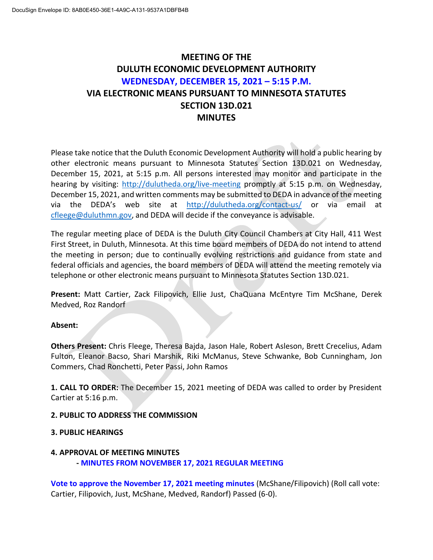## **MEETING OF THE DULUTH ECONOMIC DEVELOPMENT AUTHORITY WEDNESDAY, DECEMBER 15, 2021 – 5:15 P.M. VIA ELECTRONIC MEANS PURSUANT TO MINNESOTA STATUTES SECTION 13D.021 MINUTES**

Please take notice that the Duluth Economic Development Authority will hold a public hearing by other electronic means pursuant to Minnesota Statutes Section 13D.021 on Wednesday, December 15, 2021, at 5:15 p.m. All persons interested may monitor and participate in the hearing by visiting: <http://dulutheda.org/live-meeting> promptly at 5:15 p.m. on Wednesday, December 15, 2021, and written comments may be submitted to DEDA in advance of the meeting via the DEDA's web site at <http://dulutheda.org/contact-us/> or via email at [cfleege@duluthmn.gov,](mailto:cfleege@duluthmn.gov) and DEDA will decide if the conveyance is advisable.

The regular meeting place of DEDA is the Duluth City Council Chambers at City Hall, 411 West First Street, in Duluth, Minnesota. At this time board members of DEDA do not intend to attend the meeting in person; due to continually evolving restrictions and guidance from state and federal officials and agencies, the board members of DEDA will attend the meeting remotely via telephone or other electronic means pursuant to Minnesota Statutes Section 13D.021.

**Present:** Matt Cartier, Zack Filipovich, Ellie Just, ChaQuana McEntyre Tim McShane, Derek Medved, Roz Randorf

#### **Absent:**

**Others Present:** Chris Fleege, Theresa Bajda, Jason Hale, Robert Asleson, Brett Crecelius, Adam Fulton, Eleanor Bacso, Shari Marshik, Riki McManus, Steve Schwanke, Bob Cunningham, Jon Commers, Chad Ronchetti, Peter Passi, John Ramos

**1. CALL TO ORDER:** The December 15, 2021 meeting of DEDA was called to order by President Cartier at 5:16 p.m.

#### **2. PUBLIC TO ADDRESS THE COMMISSION**

#### **3. PUBLIC HEARINGS**

#### **4. APPROVAL OF MEETING MINUTES**

**- MINUTES FROM NOVEMBER 17, 2021 REGULAR MEETING**

**Vote to approve the November 17, 2021 meeting minutes** (McShane/Filipovich) (Roll call vote: Cartier, Filipovich, Just, McShane, Medved, Randorf) Passed (6-0).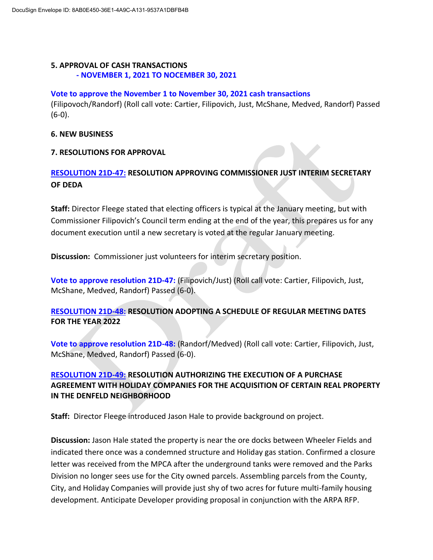# **5. APPROVAL OF CASH TRANSACTIONS**

## **- NOVEMBER 1, 2021 TO NOCEMBER 30, 2021**

#### **Vote to approve the November 1 to November 30, 2021 cash transactions**

(Filipovoch/Randorf) (Roll call vote: Cartier, Filipovich, Just, McShane, Medved, Randorf) Passed (6-0).

#### **6. NEW BUSINESS**

#### **7. RESOLUTIONS FOR APPROVAL**

## **RESOLUTION 21D-47: RESOLUTION APPROVING COMMISSIONER JUST INTERIM SECRETARY OF DEDA**

**Staff:** Director Fleege stated that electing officers is typical at the January meeting, but with Commissioner Filipovich's Council term ending at the end of the year, this prepares us for any document execution until a new secretary is voted at the regular January meeting.

**Discussion:** Commissioner just volunteers for interim secretary position.

**Vote to approve resolution 21D-47:** (Filipovich/Just) (Roll call vote: Cartier, Filipovich, Just, McShane, Medved, Randorf) Passed (6-0).

## **RESOLUTION 21D-48: RESOLUTION ADOPTING A SCHEDULE OF REGULAR MEETING DATES FOR THE YEAR 2022**

**Vote to approve resolution 21D-48:** (Randorf/Medved) (Roll call vote: Cartier, Filipovich, Just, McShane, Medved, Randorf) Passed (6-0).

## **RESOLUTION 21D-49: RESOLUTION AUTHORIZING THE EXECUTION OF A PURCHASE AGREEMENT WITH HOLIDAY COMPANIES FOR THE ACQUISITION OF CERTAIN REAL PROPERTY IN THE DENFELD NEIGHBORHOOD**

**Staff:** Director Fleege introduced Jason Hale to provide background on project.

**Discussion:** Jason Hale stated the property is near the ore docks between Wheeler Fields and indicated there once was a condemned structure and Holiday gas station. Confirmed a closure letter was received from the MPCA after the underground tanks were removed and the Parks Division no longer sees use for the City owned parcels. Assembling parcels from the County, City, and Holiday Companies will provide just shy of two acres for future multi-family housing development. Anticipate Developer providing proposal in conjunction with the ARPA RFP.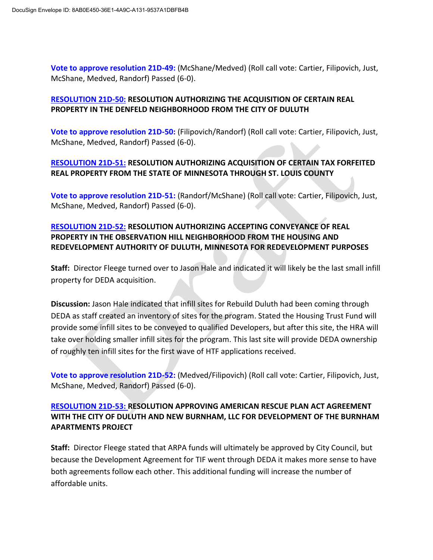**Vote to approve resolution 21D-49:** (McShane/Medved) (Roll call vote: Cartier, Filipovich, Just, McShane, Medved, Randorf) Passed (6-0).

#### **RESOLUTION 21D-50: RESOLUTION AUTHORIZING THE ACQUISITION OF CERTAIN REAL PROPERTY IN THE DENFELD NEIGHBORHOOD FROM THE CITY OF DULUTH**

**Vote to approve resolution 21D-50:** (Filipovich/Randorf) (Roll call vote: Cartier, Filipovich, Just, McShane, Medved, Randorf) Passed (6-0).

## **RESOLUTION 21D-51: RESOLUTION AUTHORIZING ACQUISITION OF CERTAIN TAX FORFEITED REAL PROPERTY FROM THE STATE OF MINNESOTA THROUGH ST. LOUIS COUNTY**

**Vote to approve resolution 21D-51:** (Randorf/McShane) (Roll call vote: Cartier, Filipovich, Just, McShane, Medved, Randorf) Passed (6-0).

## **RESOLUTION 21D-52: RESOLUTION AUTHORIZING ACCEPTING CONVEYANCE OF REAL PROPERTY IN THE OBSERVATION HILL NEIGHBORHOOD FROM THE HOUSING AND REDEVELOPMENT AUTHORITY OF DULUTH, MINNESOTA FOR REDEVELOPMENT PURPOSES**

**Staff:** Director Fleege turned over to Jason Hale and indicated it will likely be the last small infill property for DEDA acquisition.

**Discussion:** Jason Hale indicated that infill sites for Rebuild Duluth had been coming through DEDA as staff created an inventory of sites for the program. Stated the Housing Trust Fund will provide some infill sites to be conveyed to qualified Developers, but after this site, the HRA will take over holding smaller infill sites for the program. This last site will provide DEDA ownership of roughly ten infill sites for the first wave of HTF applications received.

**Vote to approve resolution 21D-52:** (Medved/Filipovich) (Roll call vote: Cartier, Filipovich, Just, McShane, Medved, Randorf) Passed (6-0).

## **RESOLUTION 21D-53: RESOLUTION APPROVING AMERICAN RESCUE PLAN ACT AGREEMENT WITH THE CITY OF DULUTH AND NEW BURNHAM, LLC FOR DEVELOPMENT OF THE BURNHAM APARTMENTS PROJECT**

**Staff:** Director Fleege stated that ARPA funds will ultimately be approved by City Council, but because the Development Agreement for TIF went through DEDA it makes more sense to have both agreements follow each other. This additional funding will increase the number of affordable units.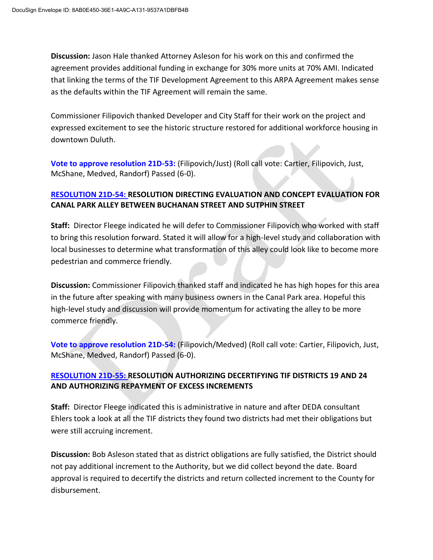**Discussion:** Jason Hale thanked Attorney Asleson for his work on this and confirmed the agreement provides additional funding in exchange for 30% more units at 70% AMI. Indicated that linking the terms of the TIF Development Agreement to this ARPA Agreement makes sense as the defaults within the TIF Agreement will remain the same.

Commissioner Filipovich thanked Developer and City Staff for their work on the project and expressed excitement to see the historic structure restored for additional workforce housing in downtown Duluth.

**Vote to approve resolution 21D-53:** (Filipovich/Just) (Roll call vote: Cartier, Filipovich, Just, McShane, Medved, Randorf) Passed (6-0).

## **RESOLUTION 21D-54: RESOLUTION DIRECTING EVALUATION AND CONCEPT EVALUATION FOR CANAL PARK ALLEY BETWEEN BUCHANAN STREET AND SUTPHIN STREET**

**Staff:** Director Fleege indicated he will defer to Commissioner Filipovich who worked with staff to bring this resolution forward. Stated it will allow for a high-level study and collaboration with local businesses to determine what transformation of this alley could look like to become more pedestrian and commerce friendly.

**Discussion:** Commissioner Filipovich thanked staff and indicated he has high hopes for this area in the future after speaking with many business owners in the Canal Park area. Hopeful this high-level study and discussion will provide momentum for activating the alley to be more commerce friendly.

**Vote to approve resolution 21D-54:** (Filipovich/Medved) (Roll call vote: Cartier, Filipovich, Just, McShane, Medved, Randorf) Passed (6-0).

## **RESOLUTION 21D-55: RESOLUTION AUTHORIZING DECERTIFYING TIF DISTRICTS 19 AND 24 AND AUTHORIZING REPAYMENT OF EXCESS INCREMENTS**

**Staff:** Director Fleege indicated this is administrative in nature and after DEDA consultant Ehlers took a look at all the TIF districts they found two districts had met their obligations but were still accruing increment.

**Discussion:** Bob Asleson stated that as district obligations are fully satisfied, the District should not pay additional increment to the Authority, but we did collect beyond the date. Board approval is required to decertify the districts and return collected increment to the County for disbursement.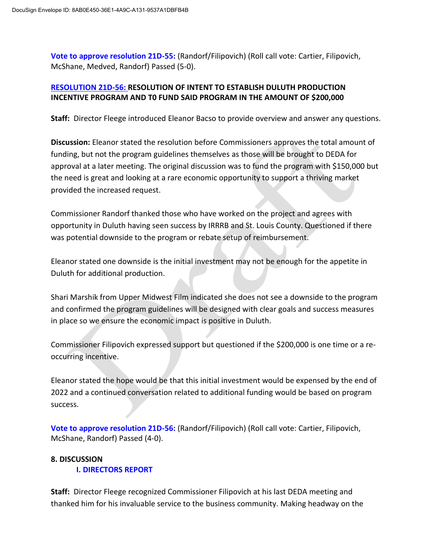**Vote to approve resolution 21D-55:** (Randorf/Filipovich) (Roll call vote: Cartier, Filipovich, McShane, Medved, Randorf) Passed (5-0).

#### **RESOLUTION 21D-56: RESOLUTION OF INTENT TO ESTABLISH DULUTH PRODUCTION INCENTIVE PROGRAM AND T0 FUND SAID PROGRAM IN THE AMOUNT OF \$200,000**

**Staff:** Director Fleege introduced Eleanor Bacso to provide overview and answer any questions.

**Discussion:** Eleanor stated the resolution before Commissioners approves the total amount of funding, but not the program guidelines themselves as those will be brought to DEDA for approval at a later meeting. The original discussion was to fund the program with \$150,000 but the need is great and looking at a rare economic opportunity to support a thriving market provided the increased request.

Commissioner Randorf thanked those who have worked on the project and agrees with opportunity in Duluth having seen success by IRRRB and St. Louis County. Questioned if there was potential downside to the program or rebate setup of reimbursement.

Eleanor stated one downside is the initial investment may not be enough for the appetite in Duluth for additional production.

Shari Marshik from Upper Midwest Film indicated she does not see a downside to the program and confirmed the program guidelines will be designed with clear goals and success measures in place so we ensure the economic impact is positive in Duluth.

Commissioner Filipovich expressed support but questioned if the \$200,000 is one time or a reoccurring incentive.

Eleanor stated the hope would be that this initial investment would be expensed by the end of 2022 and a continued conversation related to additional funding would be based on program success.

**Vote to approve resolution 21D-56:** (Randorf/Filipovich) (Roll call vote: Cartier, Filipovich, McShane, Randorf) Passed (4-0).

#### **8. DISCUSSION I. DIRECTORS REPORT**

**Staff:** Director Fleege recognized Commissioner Filipovich at his last DEDA meeting and thanked him for his invaluable service to the business community. Making headway on the